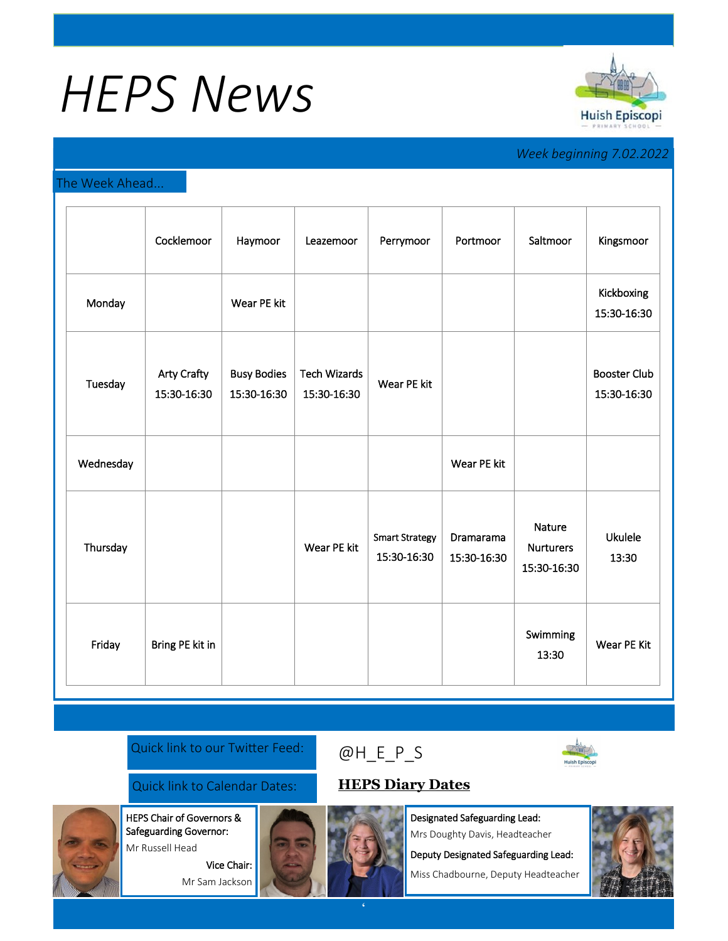# *HEPS News*



## *Week beginning 7.02.2022*

### The Week Ahead...

|           | Cocklemoor                        | Haymoor                           | Leazemoor                          | Perrymoor                            | Portmoor                 | Saltmoor                                         | Kingsmoor                          |
|-----------|-----------------------------------|-----------------------------------|------------------------------------|--------------------------------------|--------------------------|--------------------------------------------------|------------------------------------|
| Monday    |                                   | Wear PE kit                       |                                    |                                      |                          |                                                  | Kickboxing<br>15:30-16:30          |
| Tuesday   | <b>Arty Crafty</b><br>15:30-16:30 | <b>Busy Bodies</b><br>15:30-16:30 | <b>Tech Wizards</b><br>15:30-16:30 | Wear PE kit                          |                          |                                                  | <b>Booster Club</b><br>15:30-16:30 |
| Wednesday |                                   |                                   |                                    |                                      | Wear PE kit              |                                                  |                                    |
| Thursday  |                                   |                                   | Wear PE kit                        | <b>Smart Strategy</b><br>15:30-16:30 | Dramarama<br>15:30-16:30 | <b>Nature</b><br><b>Nurturers</b><br>15:30-16:30 | <b>Ukulele</b><br>13:30            |
| Friday    | Bring PE kit in                   |                                   |                                    |                                      |                          | Swimming<br>13:30                                | Wear PE Kit                        |

#### Quick link to our Twitter Feed:

# [@H\\_E\\_](https://huishepiscopiprimary.co.uk/diary-dates/)P\_S



Quick link to Calendar Dates: **[HEPS Diary Dates](https://huishepiscopiprimary.co.uk/diary-dates/)**

HEPS Chair of Governors &

Designated Safeguarding Lead:

Mrs Doughty Davis, Headteacher

Deputy Designated Safeguarding Lead:

Miss Chadbourne, Deputy Headteacher





Safeguarding Governor: Vice Chair: Mr Sam Jackson



**'**